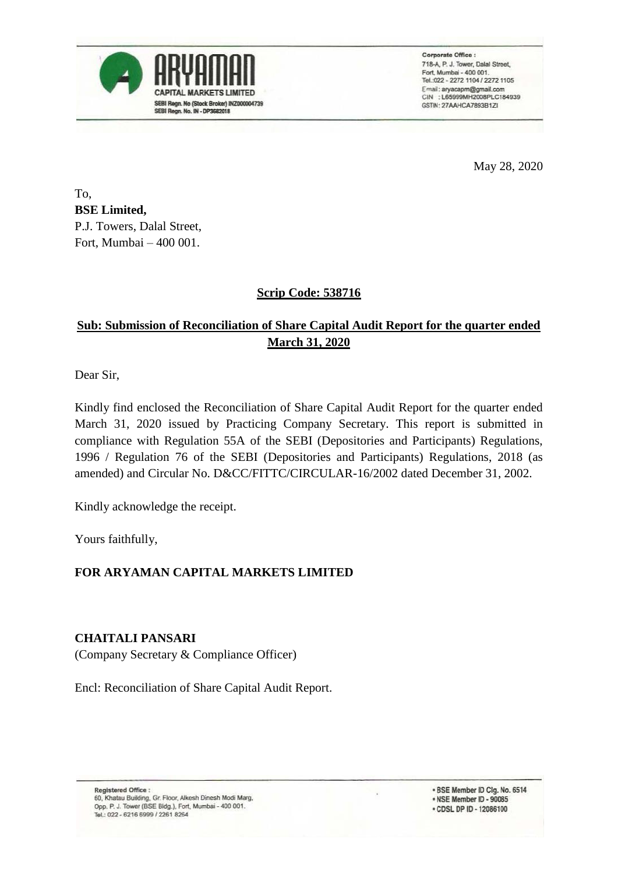

Corporate Office : 718-A, P. J. Tower, Dalal Street, Fort, Mumbai - 400 001. Tel: 022 - 2272 1104 / 2272 1105 Email: aryacapm@gmail.com CIN : L65999MH2008PLC184939 GSTIN: 27AAHCA7893B1ZI

May 28, 2020

To, **BSE Limited,** P.J. Towers, Dalal Street, Fort, Mumbai – 400 001.

### **Scrip Code: 538716**

## **Sub: Submission of Reconciliation of Share Capital Audit Report for the quarter ended March 31, 2020**

Dear Sir,

Kindly find enclosed the Reconciliation of Share Capital Audit Report for the quarter ended March 31, 2020 issued by Practicing Company Secretary. This report is submitted in compliance with Regulation 55A of the SEBI (Depositories and Participants) Regulations, 1996 / Regulation 76 of the SEBI (Depositories and Participants) Regulations, 2018 (as amended) and Circular No. D&CC/FITTC/CIRCULAR-16/2002 dated December 31, 2002.

Kindly acknowledge the receipt.

Yours faithfully,

#### **FOR ARYAMAN CAPITAL MARKETS LIMITED**

#### **CHAITALI PANSARI**

(Company Secretary & Compliance Officer)

Encl: Reconciliation of Share Capital Audit Report.

. BSE Member ID Clg. No. 6514 . NSE Member ID - 90085 · CDSL DP ID - 12086100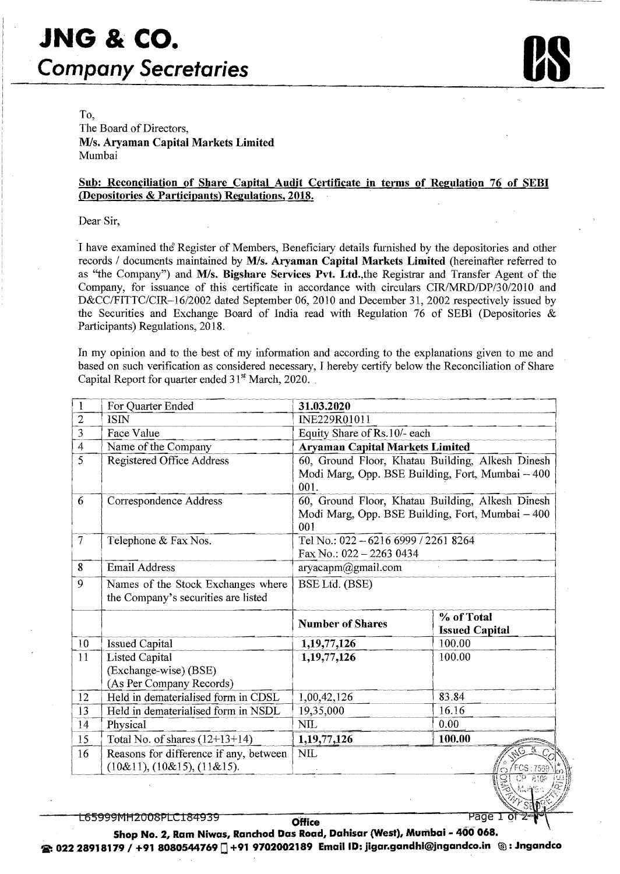# **JNG & co. Company Secretaries**



To,

The Board of Directors, M/s. Aryaman Capital Markets Limited Mumbai

#### Sub: Reconciliation of Share Capital Audit Certificate in terms of Regulation 76 of SEBI (Depositories & Participants) Regulations, 2018.

Dear Sir,

I have examined the Register of Members, Beneficiary details furnished by the depositories and other records / documents maintained by M/s. Aryaman Capital Markets Limited (hereinafter referred to as "the Company") and M/s. Bigshare Services Pvt. Ltd., the Registrar and Transfer Agent of the Company, for issuance of this certificate in accordance with circulars *CIR/MRD/DP/30/2010* and *D&CC/FITTC/CIR-16/2002* dated September 06, 2010 and December 31, 2002 respectively issued by the Securities and Exchange Board of India read with Regulation 76 of SEBI (Depositories & Participants) Regulations, 2018.

In my opinion and to the best of my information and according to the explanations given to me and based on such verification as considered necessary, I hereby certify below the Reconciliation of Share Capital Report for quarter ended  $31<sup>st</sup>$  March, 2020.

| 1                 | For Quarter Ended                                                          | 31.03.2020                                                                                                   |                                     |  |  |  |  |
|-------------------|----------------------------------------------------------------------------|--------------------------------------------------------------------------------------------------------------|-------------------------------------|--|--|--|--|
| $\overline{2}$    | <b>ISIN</b>                                                                | INE229R01011                                                                                                 |                                     |  |  |  |  |
| $\overline{3}$    | Face Value                                                                 | Equity Share of Rs.10/- each                                                                                 |                                     |  |  |  |  |
| 4                 | Name of the Company                                                        | <b>Aryaman Capital Markets Limited</b>                                                                       |                                     |  |  |  |  |
| $\overline{5}$    | Registered Office Address                                                  | 60, Ground Floor, Khatau Building, Alkesh Dinesh<br>Modi Marg, Opp. BSE Building, Fort, Mumbai - 400<br>001. |                                     |  |  |  |  |
| 6                 | Correspondence Address                                                     | 60, Ground Floor, Khatau Building, Alkesh Dinesh<br>Modi Marg, Opp. BSE Building, Fort, Mumbai - 400<br>001  |                                     |  |  |  |  |
| $\overline{\tau}$ | Telephone & Fax Nos.                                                       | Tel No.: 022-6216 6999 / 2261 8264<br>Fax No.: $022 - 22630434$                                              |                                     |  |  |  |  |
| 8                 | <b>Email Address</b>                                                       | aryacapm@gmail.com                                                                                           |                                     |  |  |  |  |
| 9                 | Names of the Stock Exchanges where<br>the Company's securities are listed  | BSE Ltd. (BSE)                                                                                               |                                     |  |  |  |  |
|                   |                                                                            | <b>Number of Shares</b>                                                                                      | % of Total<br><b>Issued Capital</b> |  |  |  |  |
| 10                | <b>Issued Capital</b>                                                      | 1,19,77,126                                                                                                  | 100.00                              |  |  |  |  |
| 11                | <b>Listed Capital</b><br>(Exchange-wise) (BSE)<br>(As Per Company Records) | 1,19,77,126                                                                                                  | 100.00                              |  |  |  |  |
| 12                | Held in dematerialised form in CDSL                                        | 1,00,42,126                                                                                                  | 83.84                               |  |  |  |  |
| 13                | Held in dematerialised form in NSDL                                        | 19,35,000                                                                                                    | 16.16                               |  |  |  |  |
| 14                | Physical                                                                   | <b>NIL</b>                                                                                                   | 0.00                                |  |  |  |  |
| 15                | Total No. of shares $(12+13+14)$                                           | 1,19,77,126                                                                                                  | 100.00                              |  |  |  |  |
| 16                | Reasons for difference if any, between<br>$(10\&11), (10\&15), (11\&15).$  | $\text{NIL}$                                                                                                 | ેર્ડ<br>いっ<br>$CP = 810%$<br>g.     |  |  |  |  |

L65999MH2008PLC184939

**Office** Shop No.2, Ram Niwas, Ranchod Das Road, Dahisar (West), Mumbai - 400 068.

e 022 28918179 <sup>I</sup>+91 8080544769 0 +91 9702002189 EmaillD: jigar.gandhi@jngandco.in ®: Jngandco

Page